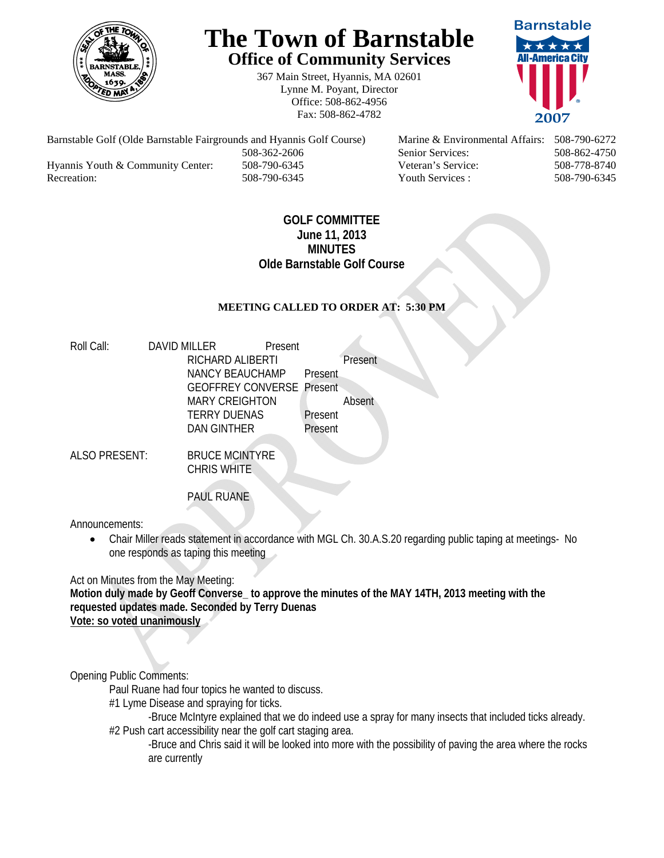

# **The Town of Barnstable Office of Community Services**

367 Main Street, Hyannis, MA 02601 Lynne M. Poyant, Director Office: 508-862-4956 Fax: 508-862-4782



Barnstable Golf (Olde Barnstable Fairgrounds and Hyannis Golf Course) Marine & Environmental Affairs: 508-790-6272 508-362-2606 Senior Services: 508-862-4750 Hyannis Youth & Community Center: 508-790-6345 Veteran's Service: 508-778-8740 Recreation: 508-790-6345 Youth Services : 508-790-6345 S08-790-6345

# **GOLF COMMITTEE June 11, 2013 MINUTES Olde Barnstable Golf Course**

## **MEETING CALLED TO ORDER AT: 5:30 PM**

| Roll Call: | DAVID MILLER                     | Present |         |         |
|------------|----------------------------------|---------|---------|---------|
|            | RICHARD ALIBERTI                 |         |         | Present |
|            | NANCY BEAUCHAMP                  |         | Present |         |
|            | <b>GEOFFREY CONVERSE Present</b> |         |         |         |
|            | <b>MARY CREIGHTON</b>            |         |         | Absent  |
|            | <b>TERRY DUENAS</b>              |         | Present |         |
|            | DAN GINTHER                      |         | Present |         |
|            |                                  |         |         |         |

ALSO PRESENT: BRUCE MCINTYRE CHRIS WHITE

PAUL RUANE

Announcements:

 Chair Miller reads statement in accordance with MGL Ch. 30.A.S.20 regarding public taping at meetings- No one responds as taping this meeting

Act on Minutes from the May Meeting:

**Motion duly made by Geoff Converse\_ to approve the minutes of the MAY 14TH, 2013 meeting with the requested updates made. Seconded by Terry Duenas Vote: so voted unanimously**

Opening Public Comments:

Paul Ruane had four topics he wanted to discuss.

#1 Lyme Disease and spraying for ticks.

-Bruce McIntyre explained that we do indeed use a spray for many insects that included ticks already. #2 Push cart accessibility near the golf cart staging area.

-Bruce and Chris said it will be looked into more with the possibility of paving the area where the rocks are currently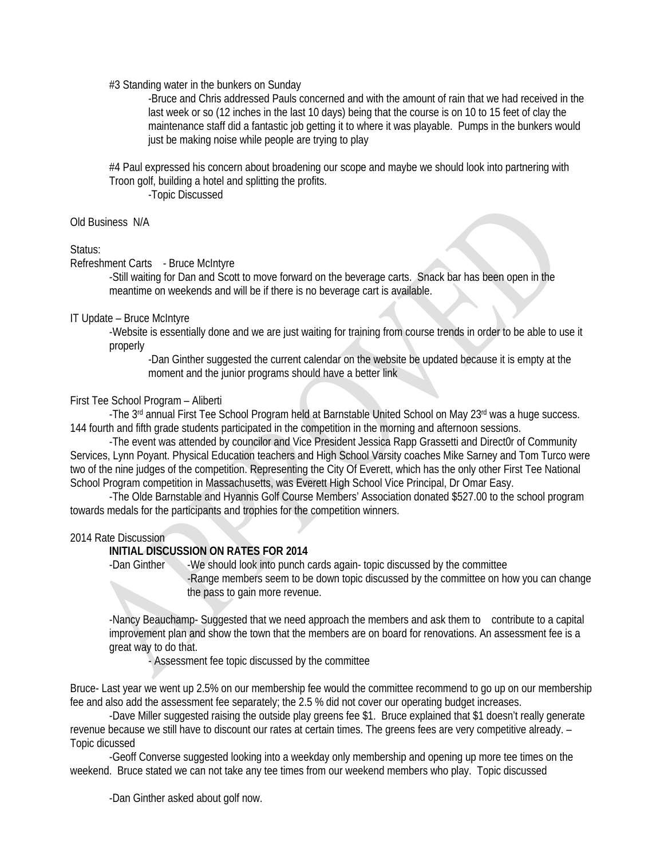#3 Standing water in the bunkers on Sunday

-Bruce and Chris addressed Pauls concerned and with the amount of rain that we had received in the last week or so (12 inches in the last 10 days) being that the course is on 10 to 15 feet of clay the maintenance staff did a fantastic job getting it to where it was playable. Pumps in the bunkers would just be making noise while people are trying to play

#4 Paul expressed his concern about broadening our scope and maybe we should look into partnering with Troon golf, building a hotel and splitting the profits.

-Topic Discussed

Old Business N/A

### Status:

Refreshment Carts - Bruce McIntyre

-Still waiting for Dan and Scott to move forward on the beverage carts. Snack bar has been open in the meantime on weekends and will be if there is no beverage cart is available.

### IT Update – Bruce McIntyre

-Website is essentially done and we are just waiting for training from course trends in order to be able to use it properly

-Dan Ginther suggested the current calendar on the website be updated because it is empty at the moment and the junior programs should have a better link

## First Tee School Program – Aliberti

-The 3<sup>rd</sup> annual First Tee School Program held at Barnstable United School on May 23<sup>rd</sup> was a huge success. 144 fourth and fifth grade students participated in the competition in the morning and afternoon sessions.

-The event was attended by councilor and Vice President Jessica Rapp Grassetti and Direct0r of Community Services, Lynn Poyant. Physical Education teachers and High School Varsity coaches Mike Sarney and Tom Turco were two of the nine judges of the competition. Representing the City Of Everett, which has the only other First Tee National School Program competition in Massachusetts, was Everett High School Vice Principal, Dr Omar Easy.

-The Olde Barnstable and Hyannis Golf Course Members' Association donated \$527.00 to the school program towards medals for the participants and trophies for the competition winners.

### 2014 Rate Discussion

### **INITIAL DISCUSSION ON RATES FOR 2014**

-Dan Ginther -We should look into punch cards again-topic discussed by the committee

-Range members seem to be down topic discussed by the committee on how you can change the pass to gain more revenue.

-Nancy Beauchamp- Suggested that we need approach the members and ask them to contribute to a capital improvement plan and show the town that the members are on board for renovations. An assessment fee is a great way to do that.

- Assessment fee topic discussed by the committee

Bruce- Last year we went up 2.5% on our membership fee would the committee recommend to go up on our membership fee and also add the assessment fee separately; the 2.5 % did not cover our operating budget increases.

 -Dave Miller suggested raising the outside play greens fee \$1. Bruce explained that \$1 doesn't really generate revenue because we still have to discount our rates at certain times. The greens fees are very competitive already. – Topic dicussed

 -Geoff Converse suggested looking into a weekday only membership and opening up more tee times on the weekend. Bruce stated we can not take any tee times from our weekend members who play. Topic discussed

-Dan Ginther asked about golf now.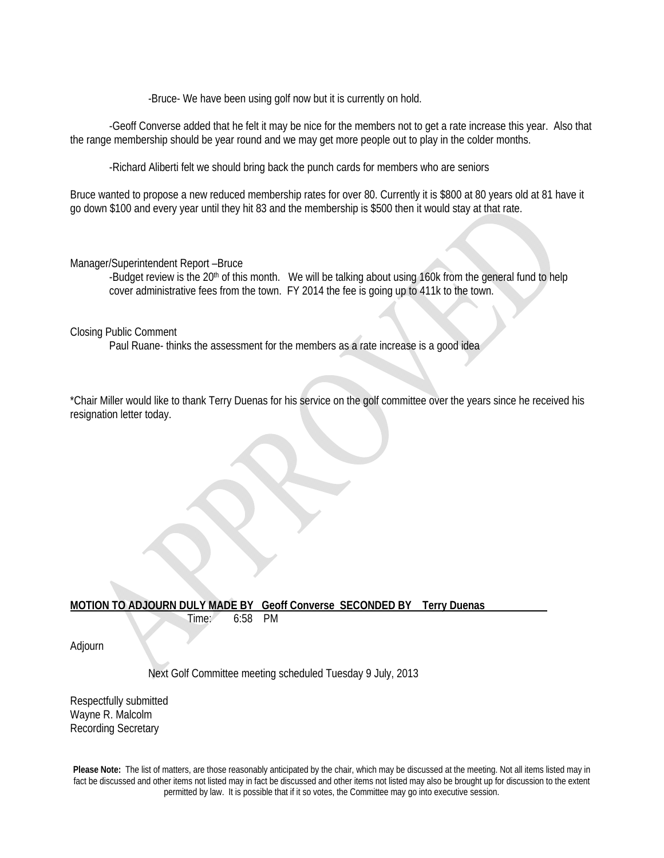-Bruce- We have been using golf now but it is currently on hold.

 -Geoff Converse added that he felt it may be nice for the members not to get a rate increase this year. Also that the range membership should be year round and we may get more people out to play in the colder months.

-Richard Aliberti felt we should bring back the punch cards for members who are seniors

Bruce wanted to propose a new reduced membership rates for over 80. Currently it is \$800 at 80 years old at 81 have it go down \$100 and every year until they hit 83 and the membership is \$500 then it would stay at that rate.

#### Manager/Superintendent Report –Bruce

-Budget review is the 20<sup>th</sup> of this month. We will be talking about using 160k from the general fund to help cover administrative fees from the town. FY 2014 the fee is going up to 411k to the town.

#### Closing Public Comment

Paul Ruane- thinks the assessment for the members as a rate increase is a good idea

\*Chair Miller would like to thank Terry Duenas for his service on the golf committee over the years since he received his resignation letter today.

## **MOTION TO ADJOURN DULY MADE BY Geoff Converse SECONDED BY Terry Duenas**

Time: 6:58 PM

Adjourn

Next Golf Committee meeting scheduled Tuesday 9 July, 2013

Respectfully submitted Wayne R. Malcolm Recording Secretary

**Please Note:** The list of matters, are those reasonably anticipated by the chair, which may be discussed at the meeting. Not all items listed may in fact be discussed and other items not listed may in fact be discussed and other items not listed may also be brought up for discussion to the extent permitted by law. It is possible that if it so votes, the Committee may go into executive session.